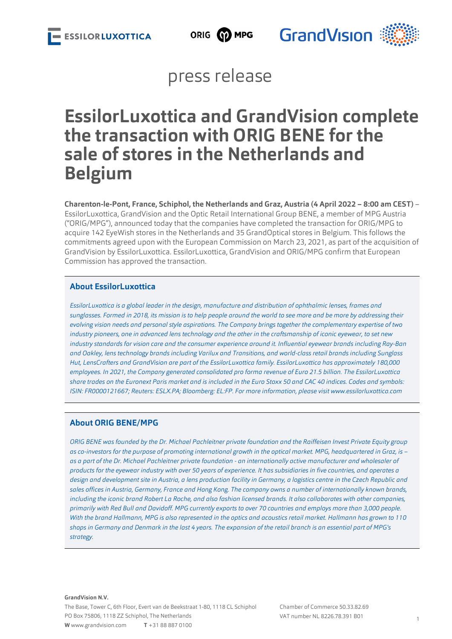



### press release

# **EssilorLuxottica and GrandVision complete the transaction with ORIG BENE for the sale of stores in the Netherlands and Belgium**

**Charenton-le-Pont, France, Schiphol, the Netherlands and Graz, Austria (4 April 2022 – 8:00 am CEST)** – EssilorLuxottica, GrandVision and the Optic Retail International Group BENE, a member of MPG Austria ("ORIG/MPG"), announced today that the companies have completed the transaction for ORIG/MPG to acquire 142 EyeWish stores in the Netherlands and 35 GrandOptical stores in Belgium. This follows the commitments agreed upon with the European Commission on March 23, 2021, as part of the acquisition of GrandVision by EssilorLuxottica. EssilorLuxottica, GrandVision and ORIG/MPG confirm that European Commission has approved the transaction.

### **About EssilorLuxottica**

*EssilorLuxottica is a global leader in the design, manufacture and distribution of ophthalmic lenses, frames and sunglasses. Formed in 2018, its mission is to help people around the world to see more and be more by addressing their evolving vision needs and personal style aspirations. The Company brings together the complementary expertise of two industry pioneers, one in advanced lens technology and the other in the craftsmanship of iconic eyewear, to set new industry standards for vision care and the consumer experience around it. Influential eyewear brands including Ray-Ban and Oakley, lens technology brands including Varilux and Transitions, and world-class retail brands including Sunglass Hut, LensCrafters and GrandVision are part of the EssilorLuxottica family. EssilorLuxottica has approximately 180,000 employees. In 2021, the Company generated consolidated pro forma revenue of Euro 21.5 billion. The EssilorLuxottica share trades on the Euronext Paris market and is included in the Euro Stoxx 50 and CAC 40 indices. Codes and symbols: ISIN: FR0000121667; Reuters: ESLX.PA; Bloomberg: EL:FP. For more information, please visit [www.essilorluxottica.com](http://www.essilorluxottica.com)*

### **About ORIG BENE/MPG**

*ORIG BENE was founded by the Dr. Michael Pachleitner private foundation and the Raiffeisen Invest Private Equity group as co-investors for the purpose of promoting international growth in the optical market. MPG, headquartered in Graz, is – as a part of the Dr. Michael Pachleitner private foundation - an internationally active manufacturer and wholesaler of products for the eyewear industry with over 50 years of experience. It has subsidiaries in five countries, and operates a design and development site in Austria, a lens production facility in Germany, a logistics centre in the Czech Republic and sales offices in Austria, Germany, France and Hong Kong. The company owns a number of internationally known brands, including the iconic brand Robert La Roche, and also fashion licensed brands. It also collaborates with other companies, primarily with Red Bull and Davidoff. MPG currently exports to over 70 countries and employs more than 3,000 people. With the brand Hallmann, MPG is also represented in the optics and acoustics retail market. Hallmann has grown to 110 shops in Germany and Denmark in the last 4 years. The expansion of the retail branch is an essential part of MPG's strategy.*